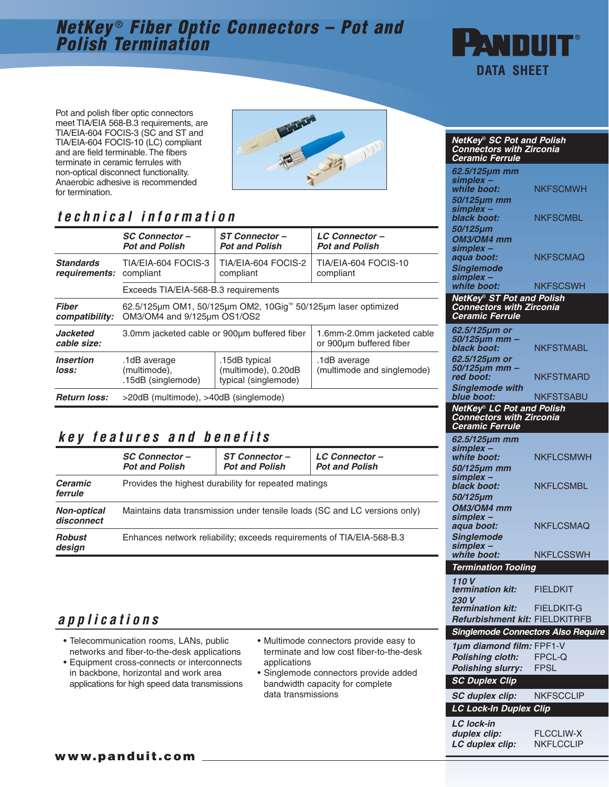# **NetKey** ® **Fiber Optic Connectors – Pot and Polish Termination**



Pot and polish fiber optic connectors meet TIA/EIA 568-B.3 requirements, are TIA/EIA-604 FOCIS-3 (SC and ST and TIA/EIA-604 FOCIS-10 (LC) compliant and are field terminable. The fibers terminate in ceramic ferrules with non-optical disconnect functionality. Anaerobic adhesive is recommended for termination.



# **technical information**

|                                             | <b>SC Connector-</b><br><b>Pot and Polish</b>                                                | ST Connector-<br><b>Pot and Polish</b>                       | <b>LC Connector-</b><br><b>Pot and Polish</b>         |  |
|---------------------------------------------|----------------------------------------------------------------------------------------------|--------------------------------------------------------------|-------------------------------------------------------|--|
| <b>Standards</b><br>requirements: compliant | TIA/EIA-604 FOCIS-3                                                                          | TIA/EIA-604 FOCIS-2<br>compliant                             | TIA/EIA-604 FOCIS-10<br>compliant                     |  |
|                                             | Exceeds TIA/EIA-568-B.3 requirements                                                         |                                                              |                                                       |  |
| <b>Fiber</b><br>compatibility:              | 62.5/125µm OM1, 50/125µm OM2, 10Gig™ 50/125µm laser optimized<br>OM3/OM4 and 9/125um OS1/OS2 |                                                              |                                                       |  |
| <b>Jacketed</b><br>cable size:              | 3.0mm jacketed cable or 900um buffered fiber                                                 |                                                              | 1.6mm-2.0mm jacketed cable<br>or 900um buffered fiber |  |
| <i><b>Insertion</b></i><br>loss:            | .1dB average<br>(multimode),<br>.15dB (singlemode)                                           | .15dB typical<br>(multimode), 0.20dB<br>typical (singlemode) | .1dB average<br>(multimode and singlemode)            |  |
| <b>Return loss:</b>                         | >20dB (multimode), >40dB (singlemode)                                                        |                                                              |                                                       |  |

### **key features and benefits**

|                                  | <b>SC Connector-</b><br><b>Pot and Polish</b>                             | <b>ST Connector-</b><br><b>Pot and Polish</b> | <b>LC Connector-</b><br><b>Pot and Polish</b> |  |  |
|----------------------------------|---------------------------------------------------------------------------|-----------------------------------------------|-----------------------------------------------|--|--|
| <b>Ceramic</b><br>ferrule        | Provides the highest durability for repeated matings                      |                                               |                                               |  |  |
| <b>Non-optical</b><br>disconnect | Maintains data transmission under tensile loads (SC and LC versions only) |                                               |                                               |  |  |
| <b>Robust</b><br>design          | Enhances network reliability; exceeds requirements of TIA/EIA-568-B.3     |                                               |                                               |  |  |

## **applications**

- Telecommunication rooms, LANs, public networks and fiber-to-the-desk applications
- Equipment cross-connects or interconnects in backbone, horizontal and work area applications for high speed data transmissions
- Multimode connectors provide easy to terminate and low cost fiber-to-the-desk applications
- Singlemode connectors provide added bandwidth capacity for complete data transmissions

| <b>NetKey® SC Pot and Polish</b>          |                  |  |  |  |
|-------------------------------------------|------------------|--|--|--|
| <b>Connectors with Zirconia</b>           |                  |  |  |  |
| <b>Ceramic Ferrule</b>                    |                  |  |  |  |
|                                           |                  |  |  |  |
| 62.5/125µm mm                             |                  |  |  |  |
| simplex -                                 |                  |  |  |  |
| white boot:                               | <b>NKFSCMWH</b>  |  |  |  |
| 50/125µm mm                               |                  |  |  |  |
| simplex -                                 |                  |  |  |  |
| black boot:                               | <b>NKFSCMBL</b>  |  |  |  |
|                                           |                  |  |  |  |
| 50/125µm                                  |                  |  |  |  |
| OM3/OM4 mm                                |                  |  |  |  |
| simplex -                                 |                  |  |  |  |
| aqua boot:                                | NKFSCMAQ         |  |  |  |
| <b>Singlemode</b>                         |                  |  |  |  |
| simplex -                                 |                  |  |  |  |
| white boot:                               | <b>NKFSCSWH</b>  |  |  |  |
|                                           |                  |  |  |  |
| NetKey® ST Pot and Polish                 |                  |  |  |  |
| <b>Connectors with Zirconia</b>           |                  |  |  |  |
| <b>Ceramic Ferrule</b>                    |                  |  |  |  |
| 62.5/125µm or                             |                  |  |  |  |
| 50/125µm mm ·                             |                  |  |  |  |
| black boot:                               | NKFSTMABL        |  |  |  |
|                                           |                  |  |  |  |
| 62.5/125µm or                             |                  |  |  |  |
| <i>50/125µm mm</i>                        |                  |  |  |  |
| red boot:                                 | NKFSTMARD        |  |  |  |
| <b>Singlemode with</b>                    |                  |  |  |  |
| blue boot:                                | <b>NKFSTSABU</b> |  |  |  |
| NetKey® LC Pot and Polish                 |                  |  |  |  |
| <b>Connectors with Zirconia</b>           |                  |  |  |  |
| <b>Ceramic Ferrule</b>                    |                  |  |  |  |
|                                           |                  |  |  |  |
| 62.5/125µm mm                             |                  |  |  |  |
| simplex -                                 |                  |  |  |  |
| white boot:                               | <b>NKFLCSMWH</b> |  |  |  |
| 50/125µm mm                               |                  |  |  |  |
| simplex –                                 |                  |  |  |  |
| black boot:                               | <b>NKFLCSMBL</b> |  |  |  |
| <i>50/125µm</i>                           |                  |  |  |  |
|                                           |                  |  |  |  |
| OM3/OM4 mm                                |                  |  |  |  |
| simplex -                                 |                  |  |  |  |
| aqua boot:                                | <b>NKFLCSMAQ</b> |  |  |  |
| <b>Singlemode</b>                         |                  |  |  |  |
| simplex -                                 |                  |  |  |  |
| white boot:                               | <b>NKFLCSSWH</b> |  |  |  |
|                                           |                  |  |  |  |
| <b>Termination Tooling</b>                |                  |  |  |  |
| 110 V                                     |                  |  |  |  |
| termination kit:                          | FIELDKIT         |  |  |  |
| 230 V                                     |                  |  |  |  |
| termination kit:                          | FIELDKIT-G       |  |  |  |
| Refurbishment kit: FIELDKITRFB            |                  |  |  |  |
|                                           |                  |  |  |  |
| <b>Singlemode Connectors Also Require</b> |                  |  |  |  |
| 1µm diamond film: FPF1-V                  |                  |  |  |  |
|                                           |                  |  |  |  |
| <b>Polishing cloth:</b>                   | FPCL-Q           |  |  |  |
| <b>Polishing slurry:</b>                  | FPSL             |  |  |  |
| <b>SC Duplex Clip</b>                     |                  |  |  |  |
|                                           |                  |  |  |  |
| <b>SC duplex clip:</b>                    | <b>NKFSCCLIP</b> |  |  |  |
|                                           |                  |  |  |  |
| <b>LC Lock-In Duplex Clip</b>             |                  |  |  |  |
| <b>LC lock-in</b>                         |                  |  |  |  |
| duplex clip:                              | <b>FLCCLIW-X</b> |  |  |  |
|                                           |                  |  |  |  |
| LC duplex clip:                           | <b>NKFLCCLIP</b> |  |  |  |